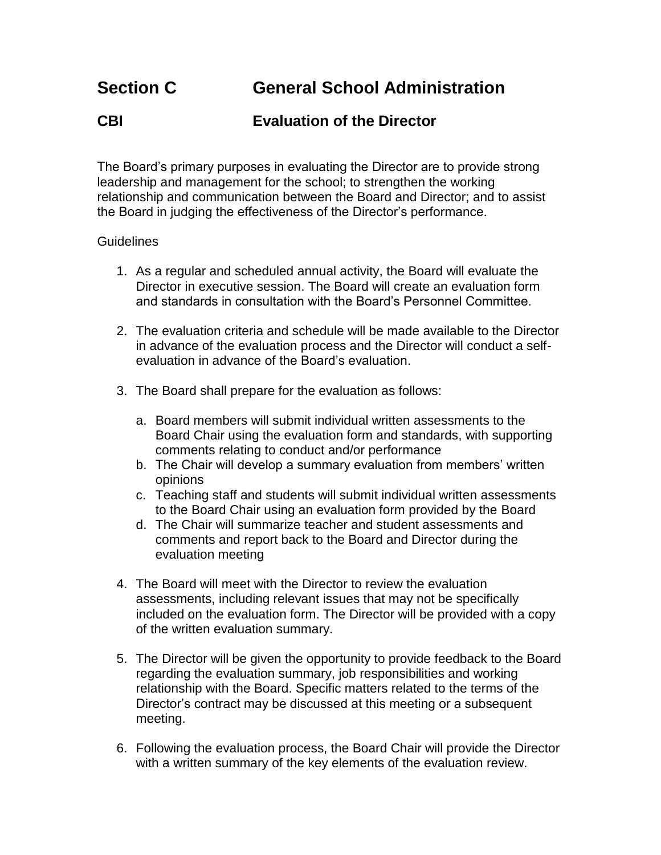## **CBI Evaluation of the Director**

The Board's primary purposes in evaluating the Director are to provide strong leadership and management for the school; to strengthen the working relationship and communication between the Board and Director; and to assist the Board in judging the effectiveness of the Director's performance.

## Guidelines

- 1. As a regular and scheduled annual activity, the Board will evaluate the Director in executive session. The Board will create an evaluation form and standards in consultation with the Board's Personnel Committee.
- 2. The evaluation criteria and schedule will be made available to the Director in advance of the evaluation process and the Director will conduct a selfevaluation in advance of the Board's evaluation.
- 3. The Board shall prepare for the evaluation as follows:
	- a. Board members will submit individual written assessments to the Board Chair using the evaluation form and standards, with supporting comments relating to conduct and/or performance
	- b. The Chair will develop a summary evaluation from members' written opinions
	- c. Teaching staff and students will submit individual written assessments to the Board Chair using an evaluation form provided by the Board
	- d. The Chair will summarize teacher and student assessments and comments and report back to the Board and Director during the evaluation meeting
- 4. The Board will meet with the Director to review the evaluation assessments, including relevant issues that may not be specifically included on the evaluation form. The Director will be provided with a copy of the written evaluation summary.
- 5. The Director will be given the opportunity to provide feedback to the Board regarding the evaluation summary, job responsibilities and working relationship with the Board. Specific matters related to the terms of the Director's contract may be discussed at this meeting or a subsequent meeting.
- 6. Following the evaluation process, the Board Chair will provide the Director with a written summary of the key elements of the evaluation review.